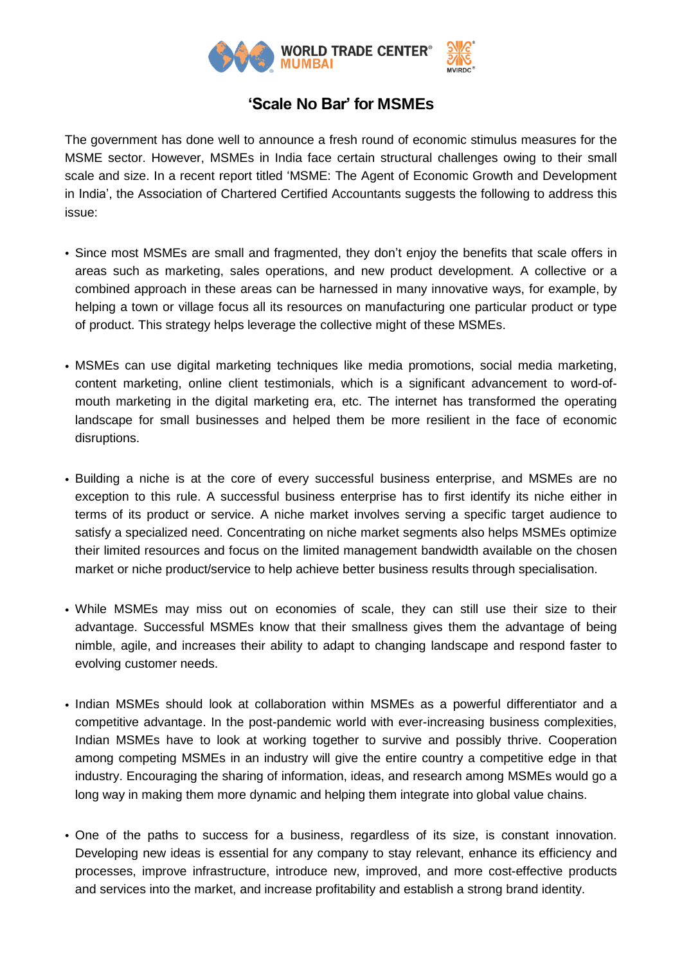

## **'Scale No Bar' for MSMEs**

The government has done well to announce a fresh round of economic stimulus measures for the MSME sector. However, MSMEs in India face certain structural challenges owing to their small scale and size. In a recent report titled 'MSME: The Agent of Economic Growth and Development in India', the Association of Chartered Certified Accountants suggests the following to address this issue:

- Since most MSMEs are small and fragmented, they don't enjoy the benefits that scale offers in areas such as marketing, sales operations, and new product development. A collective or a combined approach in these areas can be harnessed in many innovative ways, for example, by helping a town or village focus all its resources on manufacturing one particular product or type of product. This strategy helps leverage the collective might of these MSMEs.
- MSMEs can use digital marketing techniques like media promotions, social media marketing, content marketing, online client testimonials, which is a significant advancement to word-ofmouth marketing in the digital marketing era, etc. The internet has transformed the operating landscape for small businesses and helped them be more resilient in the face of economic disruptions.
- Building a niche is at the core of every successful business enterprise, and MSMEs are no exception to this rule. A successful business enterprise has to first identify its niche either in terms of its product or service. A niche market involves serving a specific target audience to satisfy a specialized need. Concentrating on niche market segments also helps MSMEs optimize their limited resources and focus on the limited management bandwidth available on the chosen market or niche product/service to help achieve better business results through specialisation.
- While MSMEs may miss out on economies of scale, they can still use their size to their advantage. Successful MSMEs know that their smallness gives them the advantage of being nimble, agile, and increases their ability to adapt to changing landscape and respond faster to evolving customer needs.
- Indian MSMEs should look at collaboration within MSMEs as a powerful differentiator and a competitive advantage. In the post-pandemic world with ever-increasing business complexities, Indian MSMEs have to look at working together to survive and possibly thrive. Cooperation among competing MSMEs in an industry will give the entire country a competitive edge in that industry. Encouraging the sharing of information, ideas, and research among MSMEs would go a long way in making them more dynamic and helping them integrate into global value chains.
- One of the paths to success for a business, regardless of its size, is constant innovation. Developing new ideas is essential for any company to stay relevant, enhance its efficiency and processes, improve infrastructure, introduce new, improved, and more cost-effective products and services into the market, and increase profitability and establish a strong brand identity.